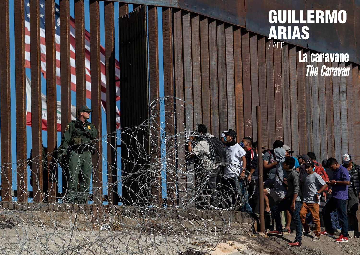

# GUILLERMO ARIAS / AFP

### La caravane The Caravan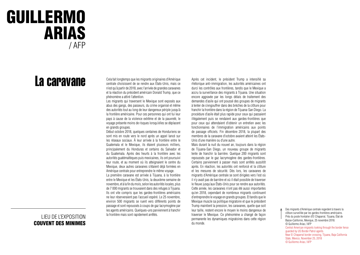### GUILLERMO ARIAS / AFP

## La caravane

### LIEU DE L'EXPOSITION COUVENT DES MINIMES

Cela fait longtemps que les migrants originaires d'Amérique centrale choisissent de se rendre aux États-Unis, mais ce n'est qu'à partir de 2018, avec l'arrivée de grandes caravanes et la réaction du président américain Donald Trump, que ce phénomène a attiré l'attention.

Les migrants qui traversent le Mexique sont exposés aux abus des gangs, des passeurs, du crime organisé et même des autorités tout au long de leur dangereux périple jusqu'à la frontière américaine. Pour ces personnes qui ont fui leur pays à cause de la violence extrême et de la pauvreté, le voyage présente moins de risques lorsqu'elles se déplacent en grands groupes.

Début octobre 2018, quelques centaines de Honduriens se sont mis en route vers le nord après un appel lancé sur les réseaux sociaux. À leur arrivée à la frontière entre le Guatemala et le Mexique, ils étaient plusieurs milliers, principalement du Honduras et certains du Salvador et du Guatemala. Après des heurts à la frontière avec les autorités guatémaltèques puis mexicaines, ils ont poursuivi leur route, et au moment où ils atteignaient le centre du Mexique, deux autres caravanes s'étaient déjà formées en Amérique centrale pour entreprendre le même voyage.

La première caravane est arrivée à Tijuana, à la frontière entre le Mexique et les États-Unis, la deuxième semaine de novembre, et à la fin du mois, selon les autorités locales, plus de 7 000 migrants se trouvaient dans des refuges à Tijuana. Ils ont vite compris que les gardes-frontières américains ne leur réserveraient pas l'accueil espéré. Le 25 novembre, environ 500 migrants se ruent vers différents points de passage et sont repoussés à coups de gaz lacrymogène par les agents américains. Quelques-uns parviennent à franchir la frontière mais sont rapidement arrêtés.

Après cet incident, le président Trump a intensifié sa rhétorique anti-immigration, les autorités américaines ont durci les contrôles aux frontières, tandis que le Mexique a accru la surveillance des migrants à Tijuana. Une situation encore aggravée par les longs délais de traitement des demandes d'asile qui ont poussé des groupes de migrants à tenter de s'engouffrer dans des brèches de la clôture pour franchir la frontière dans la région de Tijuana-San Diego. La procédure d'asile était plus rapide pour ceux qui passaient illégalement puis se rendaient aux gardes-frontières que pour ceux qui attendaient d'obtenir un entretien avec les fonctionnaires de l'immigration américains aux points de passage officiels. Fin décembre 2018, la plupart des membres de la caravane d'octobre avaient atteint les États-Unis d'une manière ou d'une autre.

Mais durant la nuit du nouvel an, toujours dans la région de Tijuana-San Diego, un nouveau groupe de migrants tente de franchir la barrière. Quelque 200 migrants sont repoussés par le gaz lacrymogène des gardes-frontières. Certains parviennent à passer mais sont arrêtés aussitôt après. En réaction, les autorités ont renforcé et la clôture et les mesures de sécurité. Dès lors, les caravanes de migrants d'Amérique centrale se sont dirigées vers l'est où il n'y avait pas de barrière et où il était possible de traverser le fleuve jusqu'aux États-Unis pour se rendre aux autorités. Cette année, les caravanes n'ont pas été aussi importantes qu'en 2018, cependant de nombreux migrants continuent d'entreprendre le voyage en grands groupes. Et tandis que le Mexique muscle sa politique migratoire et que le président Trump maintient la pression, les caravanes, quelle que soit leur taille, restent encore le moyen le moins dangereux de traverser le Mexique. Ce phénomène a changé de façon permanente les dynamiques migratoires dans cette région du monde.

Des migrants d'Amérique centrale regardent à travers la clôture surveillée par les gardes-frontières américains. Près du poste frontalier d'El Chaparral, Tijuana, État de Basse-Californie, Mexique, 25 novembre 2018. © Guillermo Arias / AFP Central American migrants looking through the border fence guarded by US Border Patrol agents. Near El Chaparral border crossing, Tijuana, Baja California State, Mexico, November 25, 2018 © Guillermo Arias / AFP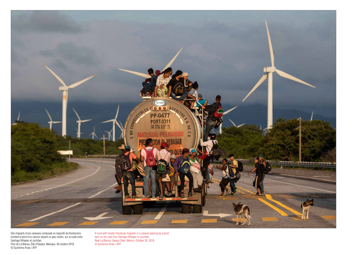

Des migrants d'une caravane composée en majorité de Honduriens montent à bord d'un camion devant un parc éolien, sur la route entre Santiago Niltepec et Juchitan. Près de La Blanca, État d'Oaxaca, Mexique, 30 octobre 2018. © Guillermo Arias / AFP

A truck with mostly Honduran migrants in a caravan passing by a wind farm on the road from Santiago Niltepec to Juchitan. Near La Blanca, Oaxaca State, Mexico, October 30, 2018. © Guillermo Arias / AFP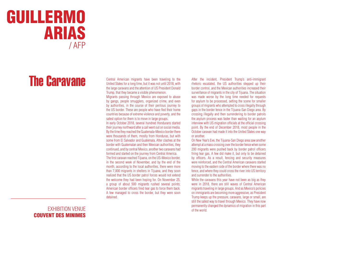### GUILLERMO ARIAS / AFP

# The Caravane

#### EXHIBITION VENUE COUVENT DES MINIMES

Migrants passing through Mexico are exposed to abuse by gangs, people smugglers, organized crime, and even by authorities, in the course of their perilous journey to the US border. These are people who have fled their home countries because of extreme violence and poverty, and the safest option for them is to move in large groups.

Central American migrants have been traveling to the United States for a long time, but it was not until 2018, with the large caravans and the attention of US President Donald Trump, that they became a visible phenomenon.

In early October 2018, several hundred Hondurans started their journey northward after a call went out on social media. By the time they reached the Guatemala-Mexico border there were thousands of them, mostly from Honduras, but with some from El Salvador and Guatemala. After clashes at the border with Guatemalan and then Mexican authorities, they continued, and by central Mexico, another two caravans had formed and started on the journey from Central America. The first caravan reached Tijuana, on the US-Mexico border, in the second week of November, and by the end of the month, according to the local authorities, there were more than 7,000 migrants in shelters in Tijuana, and they soon realized that the US border patrol forces would not extend the welcome they had been hoping for. On November 25, a group of about 500 migrants rushed several points; American border officers fired tear gas to force them back. A few managed to cross the border, but they were soon detained.

#### After the incident, President Trump's anti-immigrant rhetoric escalated, the US authorities stepped up their border control, and the Mexican authorities increased their surveillance of migrants in the city of Tijuana. The situation was made worse by the long time needed for requests for asylum to be processed, setting the scene for smaller groups of migrants who attempted to cross illegally through gaps in the border fence in the Tijuana-San Diego area. By crossing illegally and then surrendering to border patrols the asylum process was faster than waiting for an asylum interview with US migration officials at the official crossing point. By the end of December 2018, most people in the October caravan had made it into the United States one way or another.

On New Year's Eve, the Tijuana-San Diego area saw another attempt at a mass crossing over the border fence when some 200 migrants were pushed back by border patrol officers firing tear gas. A few did make it, but only to be detained by officers. As a result, fencing and security measures were reinforced, and the Central American caravans started moving to the eastern side of the border where there was no fence, and where they could cross the river into US territory and surrender to the authorities.

While the caravans this year have not been as big as they were in 2018, there are still waves of Central American migrants traveling in large groups. And as Mexico's policies on immigrants are becoming more aggressive, as President Trump keeps up the pressure, caravans, large or small, are still the safest way to travel through Mexico. They have now permanently changed the dynamics of migration in this part of the world.